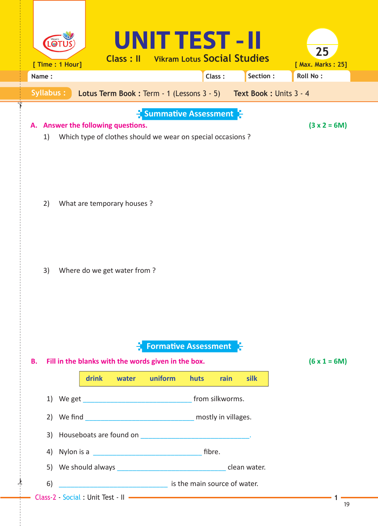| [ Max. Marks: 25]<br><b>Roll No:</b> |  |  |  |  |  |
|--------------------------------------|--|--|--|--|--|
|                                      |  |  |  |  |  |
|                                      |  |  |  |  |  |
| $(3 x 2 = 6M)$                       |  |  |  |  |  |
|                                      |  |  |  |  |  |
|                                      |  |  |  |  |  |
| $(6 \times 1 = 6M)$                  |  |  |  |  |  |
|                                      |  |  |  |  |  |
|                                      |  |  |  |  |  |
|                                      |  |  |  |  |  |
|                                      |  |  |  |  |  |
|                                      |  |  |  |  |  |
|                                      |  |  |  |  |  |